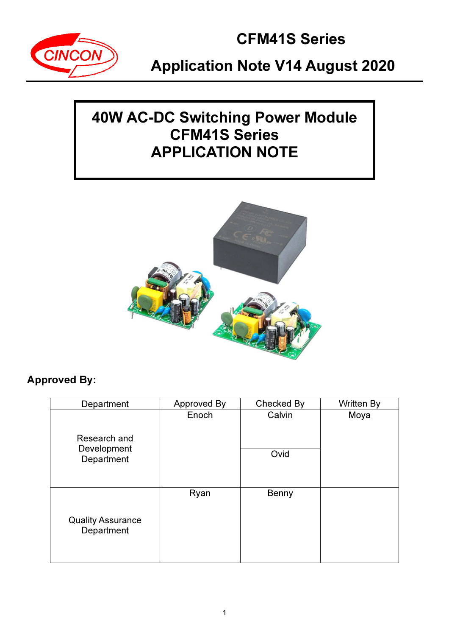

## 40W AC-DC Switching Power Module CFM41S Series APPLICATION NOTE



## Approved By:

| Department                                | Approved By | Checked By     | <b>Written By</b> |
|-------------------------------------------|-------------|----------------|-------------------|
| Research and<br>Development<br>Department | Enoch       | Calvin<br>Ovid | Moya              |
| <b>Quality Assurance</b><br>Department    | Ryan        | Benny          |                   |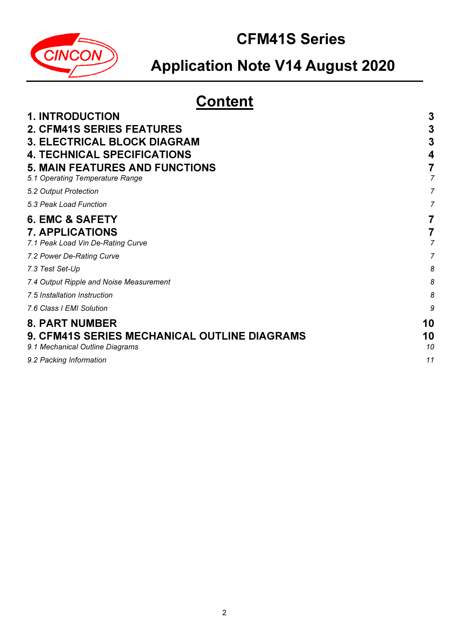

# Application Note V14 August 2020

# **Content**

| <b>1. INTRODUCTION</b>                       | 3  |
|----------------------------------------------|----|
| <b>2. CFM41S SERIES FEATURES</b>             | 3  |
| <b>3. ELECTRICAL BLOCK DIAGRAM</b>           | 3  |
| <b>4. TECHNICAL SPECIFICATIONS</b>           |    |
| <b>5. MAIN FEATURES AND FUNCTIONS</b>        |    |
| 5.1 Operating Temperature Range              |    |
| 5.2 Output Protection                        |    |
| 5.3 Peak Load Function                       |    |
| <b>6. EMC &amp; SAFETY</b>                   |    |
| <b>7. APPLICATIONS</b>                       |    |
| 7.1 Peak Load Vin De-Rating Curve            |    |
| 7.2 Power De-Rating Curve                    |    |
| 7.3 Test Set-Up                              | 8  |
| 7.4 Output Ripple and Noise Measurement      | 8  |
| 7.5 Installation Instruction                 | 8  |
| 7.6 Class I EMI Solution                     | 9  |
| <b>8. PART NUMBER</b>                        | 10 |
| 9. CFM41S SERIES MECHANICAL OUTLINE DIAGRAMS | 10 |
| 9.1 Mechanical Outline Diagrams              | 10 |
| 9.2 Packing Information                      | 11 |
|                                              |    |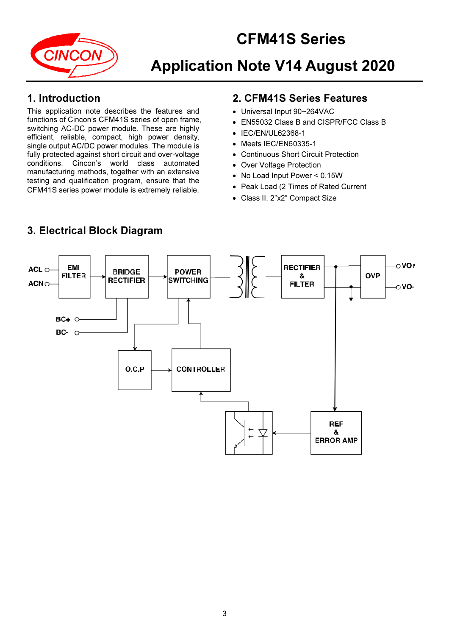



### 1. Introduction

This application note describes the features and functions of Cincon's CFM41S series of open frame, switching AC-DC power module. These are highly efficient, reliable, compact, high power density, single output AC/DC power modules. The module is fully protected against short circuit and over-voltage conditions. Cincon's world class automated manufacturing methods, together with an extensive testing and qualification program, ensure that the CFM41S series power module is extremely reliable.

## 2. CFM41S Series Features

- Universal Input 90~264VAC
- EN55032 Class B and CISPR/FCC Class B
- IEC/EN/UL62368-1
- Meets IEC/EN60335-1
- Continuous Short Circuit Protection
- Over Voltage Protection
- No Load Input Power < 0.15W
- Peak Load (2 Times of Rated Current
- Class II, 2"x2" Compact Size



### 3. Electrical Block Diagram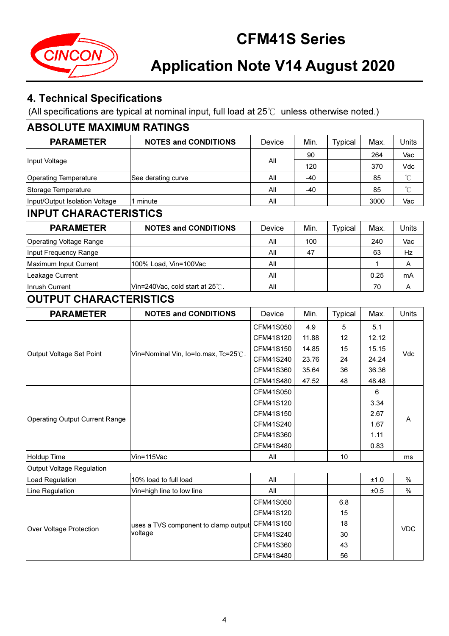

## 4. Technical Specifications

(All specifications are typical at nominal input, full load at 25℃ unless otherwise noted.)

| <b>ABSOLUTE MAXIMUM RATINGS</b>                                                                                                   |                                      |           |       |                |           |                   |  |  |
|-----------------------------------------------------------------------------------------------------------------------------------|--------------------------------------|-----------|-------|----------------|-----------|-------------------|--|--|
| <b>PARAMETER</b>                                                                                                                  | <b>NOTES and CONDITIONS</b>          | Device    | Min.  | <b>Typical</b> | Max.      | Units             |  |  |
|                                                                                                                                   |                                      |           | 90    |                | 264       | Vac               |  |  |
| Input Voltage                                                                                                                     |                                      | All       | 120   |                | 370       | Vdc               |  |  |
| <b>Operating Temperature</b>                                                                                                      | See derating curve                   | All       | $-40$ |                | 85        | $\rm ^{\circ}\!C$ |  |  |
| Storage Temperature                                                                                                               |                                      | All       | $-40$ |                | 85        | $\rm ^{\circ}C$   |  |  |
| Input/Output Isolation Voltage                                                                                                    | 1 minute                             | All       |       |                | 3000      | Vac               |  |  |
|                                                                                                                                   |                                      |           |       |                |           |                   |  |  |
| <b>PARAMETER</b>                                                                                                                  | <b>NOTES and CONDITIONS</b>          | Device    | Min.  | <b>Typical</b> | Max.      | Units             |  |  |
| <b>Operating Voltage Range</b>                                                                                                    |                                      | All       | 100   |                | 240       | Vac               |  |  |
| Input Frequency Range                                                                                                             |                                      | All       | 47    |                | 63        | Hz                |  |  |
| Maximum Input Current                                                                                                             | 100% Load, Vin=100Vac                | All       |       |                | 1         | Α                 |  |  |
| Leakage Current                                                                                                                   |                                      | All       |       |                | 0.25      | mA                |  |  |
| Inrush Current                                                                                                                    | Vin=240Vac, cold start at 25°C.      | All       |       |                | 70        | A                 |  |  |
|                                                                                                                                   |                                      |           |       |                |           |                   |  |  |
| <b>PARAMETER</b>                                                                                                                  | <b>NOTES and CONDITIONS</b>          | Device    | Min.  | <b>Typical</b> | Max.      | Units             |  |  |
|                                                                                                                                   |                                      | CFM41S050 | 4.9   | 5              | 5.1       |                   |  |  |
|                                                                                                                                   |                                      | CFM41S120 | 11.88 | 12             | 12.12     |                   |  |  |
| Output Voltage Set Point                                                                                                          | Vin=Nominal Vin, Io=Io.max, Tc=25°C. | CFM41S150 | 14.85 | 15             | 15.15     |                   |  |  |
|                                                                                                                                   |                                      | CFM41S240 | 23.76 | 24             | 24.24     | Vdc               |  |  |
|                                                                                                                                   |                                      | CFM41S360 | 35.64 | 36             | 36.36     |                   |  |  |
|                                                                                                                                   |                                      | CFM41S480 | 47.52 | 48             | 48.48     |                   |  |  |
|                                                                                                                                   |                                      | CFM41S050 |       |                | 6         |                   |  |  |
|                                                                                                                                   |                                      | CFM41S120 |       |                | 3.34      |                   |  |  |
|                                                                                                                                   |                                      | CFM41S150 |       |                | 2.67      | A                 |  |  |
|                                                                                                                                   |                                      | CFM41S240 |       |                | 1.67      |                   |  |  |
|                                                                                                                                   |                                      | CFM41S360 |       |                | 1.11      |                   |  |  |
|                                                                                                                                   |                                      | CFM41S480 |       |                | 0.83      |                   |  |  |
| <b>Holdup Time</b>                                                                                                                | Vin=115Vac                           | All       |       | 10             |           | ms                |  |  |
| Output Voltage Regulation                                                                                                         |                                      |           |       |                |           |                   |  |  |
| Load Regulation                                                                                                                   | 10% load to full load                | All       |       |                | $\pm 1.0$ | $\%$              |  |  |
| Line Regulation                                                                                                                   | Vin=high line to low line            | All       |       |                | ±0.5      | $\%$              |  |  |
|                                                                                                                                   |                                      | CFM41S050 |       | 6.8            |           |                   |  |  |
|                                                                                                                                   |                                      | CFM41S120 |       | 15             |           |                   |  |  |
| <b>INPUT CHARACTERISTICS</b><br><b>OUTPUT CHARACTERISTICS</b><br><b>Operating Output Current Range</b><br>Over Voltage Protection | uses a TVS component to clamp output | CFM41S150 |       | 18             |           | <b>VDC</b>        |  |  |
|                                                                                                                                   | voltage                              | CFM41S240 |       | 30             |           |                   |  |  |
|                                                                                                                                   |                                      | CFM41S360 |       | 43             |           |                   |  |  |
|                                                                                                                                   |                                      | CFM41S480 |       | 56             |           |                   |  |  |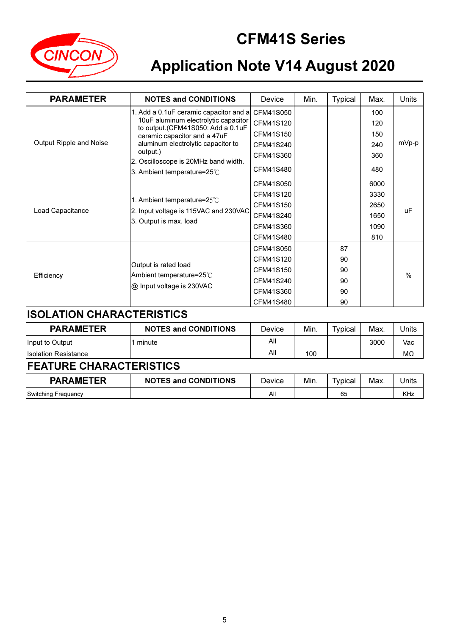

# Application Note V14 August 2020

| <b>PARAMETER</b>        | <b>NOTES and CONDITIONS</b>                                                                                                                         | Device    | Min. | <b>Typical</b> | Max. | Units         |
|-------------------------|-----------------------------------------------------------------------------------------------------------------------------------------------------|-----------|------|----------------|------|---------------|
|                         | 1. Add a 0.1uF ceramic capacitor and a<br>10uF aluminum electrolytic capacitor<br>to output.(CFM41S050: Add a 0.1uF<br>ceramic capacitor and a 47uF | CFM41S050 |      |                | 100  |               |
|                         |                                                                                                                                                     | CFM41S120 |      |                | 120  |               |
|                         |                                                                                                                                                     | CFM41S150 |      |                | 150  |               |
| Output Ripple and Noise | aluminum electrolytic capacitor to                                                                                                                  | CFM41S240 |      |                | 240  | mVp-p         |
|                         | output.)<br>2. Oscilloscope is 20MHz band width.<br>3. Ambient temperature=25°C                                                                     | CFM41S360 |      |                | 360  |               |
|                         |                                                                                                                                                     | CFM41S480 |      |                | 480  |               |
| Load Capacitance        | 1. Ambient temperature= $25^{\circ}$ C<br>2. Input voltage is 115VAC and 230VAC<br>3. Output is max. load                                           | CFM41S050 |      |                | 6000 |               |
|                         |                                                                                                                                                     | CFM41S120 |      |                | 3330 |               |
|                         |                                                                                                                                                     | CFM41S150 |      |                | 2650 |               |
|                         |                                                                                                                                                     | CFM41S240 |      |                | 1650 | uF            |
|                         |                                                                                                                                                     | CFM41S360 |      |                | 1090 |               |
|                         |                                                                                                                                                     | CFM41S480 |      |                | 810  |               |
|                         |                                                                                                                                                     | CFM41S050 |      | 87             |      |               |
|                         |                                                                                                                                                     | CFM41S120 |      | 90             |      |               |
|                         | Output is rated load                                                                                                                                | CFM41S150 |      | 90             |      | $\frac{0}{0}$ |
| Efficiency              | Ambient temperature=25°C                                                                                                                            | CFM41S240 |      | 90             |      |               |
|                         | @ Input voltage is 230VAC                                                                                                                           | CFM41S360 |      | 90             |      |               |
|                         |                                                                                                                                                     | CFM41S480 |      | 90             |      |               |

## ISOLATION CHARACTERISTICS

| <b>PARAMETER</b>             | <b>NOTES and CONDITIONS</b> | Device | Min. | Typical | Max. | Units |
|------------------------------|-----------------------------|--------|------|---------|------|-------|
| Input to Output              | minute                      | All    |      |         | 3000 | Vac   |
| <b>Ilsolation Resistance</b> |                             | All    | 100  |         |      | МΩ    |

## FEATURE CHARACTERISTICS

| <b>PARAMETER</b>    | <b>NOTES and CONDITIONS</b> | Device | Min. | -<br>'vpical | Max. | <b>Jnits</b> |
|---------------------|-----------------------------|--------|------|--------------|------|--------------|
| Switching Frequency |                             | All    |      | 65           |      | <b>KHz</b>   |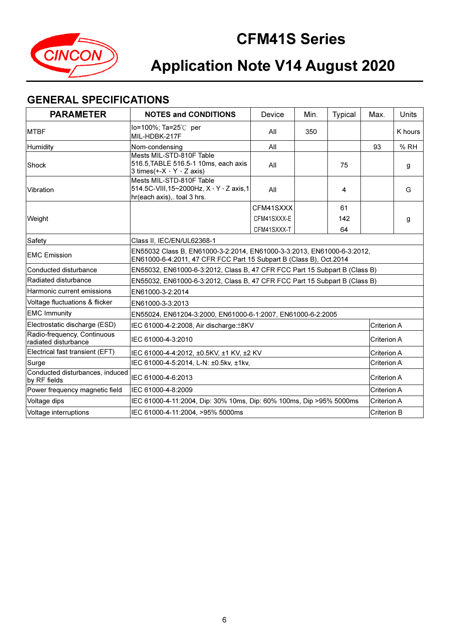

## GENERAL SPECIFICATIONS

| <b>PARAMETER</b>                                    | <b>NOTES and CONDITIONS</b>                                                                                     | Device                                                                                                                                       | Min. | <b>Typical</b> | Max.        | Units   |
|-----------------------------------------------------|-----------------------------------------------------------------------------------------------------------------|----------------------------------------------------------------------------------------------------------------------------------------------|------|----------------|-------------|---------|
| <b>MTBF</b>                                         | lo=100%; Ta=25℃ per<br>MIL-HDBK-217F                                                                            | All                                                                                                                                          | 350  |                |             | K hours |
| Humidity                                            | Nom-condensing                                                                                                  | All                                                                                                                                          |      |                | 93          | % RH    |
| Shock                                               | Mests MIL-STD-810F Table<br>516.5, TABLE 516.5-1 10ms, each axis<br>3 times $(+X \cdot Y \cdot Z \text{ axis})$ | All                                                                                                                                          |      | 75             |             | g       |
| Vibration                                           | Mests MIL-STD-810F Table<br>514.5C-VIII,15~2000Hz, X · Y · Z axis,1<br>hr(each axis), toal 3 hrs.               | All                                                                                                                                          |      | 4              |             | G       |
|                                                     |                                                                                                                 | CFM41SXXX                                                                                                                                    |      | 61             |             |         |
| Weight                                              |                                                                                                                 | CFM41SXXX-E                                                                                                                                  |      | 142            |             | g       |
|                                                     |                                                                                                                 | CFM41SXXX-T                                                                                                                                  |      | 64             |             |         |
| Safety                                              | Class II. IEC/EN/UL62368-1                                                                                      |                                                                                                                                              |      |                |             |         |
| <b>EMC Emission</b>                                 |                                                                                                                 | EN55032 Class B, EN61000-3-2:2014, EN61000-3-3:2013, EN61000-6-3:2012,<br>EN61000-6-4:2011, 47 CFR FCC Part 15 Subpart B (Class B), Oct.2014 |      |                |             |         |
| Conducted disturbance                               |                                                                                                                 | EN55032, EN61000-6-3:2012, Class B, 47 CFR FCC Part 15 Subpart B (Class B)                                                                   |      |                |             |         |
| Radiated disturbance                                | EN55032, EN61000-6-3:2012, Class B, 47 CFR FCC Part 15 Subpart B (Class B)                                      |                                                                                                                                              |      |                |             |         |
| Harmonic current emissions                          | EN61000-3-2:2014                                                                                                |                                                                                                                                              |      |                |             |         |
| Voltage fluctuations & flicker                      | EN61000-3-3:2013                                                                                                |                                                                                                                                              |      |                |             |         |
| <b>EMC Immunity</b>                                 | EN55024, EN61204-3:2000, EN61000-6-1:2007, EN61000-6-2:2005                                                     |                                                                                                                                              |      |                |             |         |
| Electrostatic discharge (ESD)                       | IEC 61000-4-2:2008, Air discharge: ±8KV                                                                         |                                                                                                                                              |      |                | Criterion A |         |
| Radio-frequency, Continuous<br>radiated disturbance | IEC 61000-4-3:2010                                                                                              |                                                                                                                                              |      |                | Criterion A |         |
| Electrical fast transient (EFT)                     | IEC 61000-4-4:2012, ±0.5KV, ±1 KV, ±2 KV                                                                        |                                                                                                                                              |      |                | Criterion A |         |
| Surge                                               | IEC 61000-4-5:2014, L-N: ±0.5kv, ±1kv,                                                                          |                                                                                                                                              |      |                | Criterion A |         |
| Conducted disturbances, induced<br>by RF fields     | IEC 61000-4-6:2013                                                                                              |                                                                                                                                              |      |                | Criterion A |         |
| Power frequency magnetic field                      | IEC 61000-4-8:2009                                                                                              |                                                                                                                                              |      |                | Criterion A |         |
| Voltage dips                                        | IEC 61000-4-11:2004, Dip: 30% 10ms, Dip: 60% 100ms, Dip >95% 5000ms                                             |                                                                                                                                              |      |                | Criterion A |         |
| Voltage interruptions                               | IEC 61000-4-11:2004, >95% 5000ms                                                                                |                                                                                                                                              |      |                | Criterion B |         |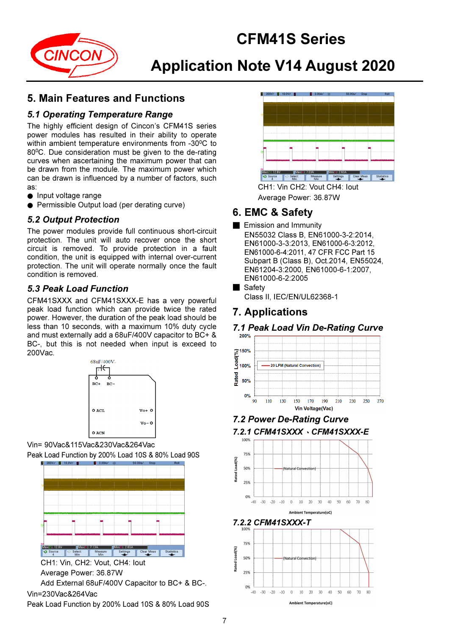

## 5. Main Features and Functions

### 5.1 Operating Temperature Range

The highly efficient design of Cincon's CFM41S series power modules has resulted in their ability to operate within ambient temperature environments from -30°C to 80<sup>o</sup>C. Due consideration must be given to the de-rating curves when ascertaining the maximum power that can be drawn from the module. The maximum power which can be drawn is influenced by a number of factors, such as:

- Input voltage range
- Permissible Output load (per derating curve)

### 5.2 Output Protection

The power modules provide full continuous short-circuit protection. The unit will auto recover once the short circuit is removed. To provide protection in a fault condition, the unit is equipped with internal over-current protection. The unit will operate normally once the fault condition is removed.

### 5.3 Peak Load Function

CFM41SXXX and CFM41SXXX-E has a very powerful peak load function which can provide twice the rated power. However, the duration of the peak load should be less than 10 seconds, with a maximum 10% duty cycle and must externally add a 68uF/400V capacitor to BC+ & BC-, but this is not needed when input is exceed to 200Vac.



Vin= 90Vac&115Vac&230Vac&264Vac Peak Load Function by 200% Load 10S & 80% Load 90S



CH1: Vin, CH2: Vout, CH4: Iout Average Power: 36.87W

Add External 68uF/400V Capacitor to BC+ & BC-. Vin=230Vac&264Vac

Peak Load Function by 200% Load 10S & 80% Load 90S



Average Power: 36.87W

## 6. EMC & Safety

- Emission and Immunity
	- EN55032 Class B, EN61000-3-2:2014, EN61000-3-3:2013, EN61000-6-3:2012, EN61000-6-4:2011, 47 CFR FCC Part 15 Subpart B (Class B), Oct.2014, EN55024, EN61204-3:2000, EN61000-6-1:2007, EN61000-6-2:2005

### ■ Safety

Class II, IEC/EN/UL62368-1

## 7. Applications

## 7.1 Peak Load Vin De-Rating Curve



7.2 Power De-Rating Curve

#### 7.2.1 CFM41SXXX、CFM41SXXX-E



<sup>7.2.2</sup> CFM41SXXX-T



**Ambient Temperature(oC)**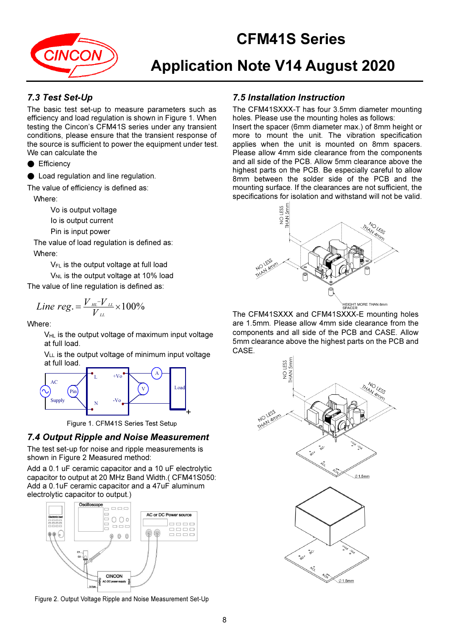

# Application Note V14 August 2020

### 7.3 Test Set-Up

The basic test set-up to measure parameters such as efficiency and load regulation is shown in Figure 1. When testing the Cincon's CFM41S series under any transient conditions, please ensure that the transient response of the source is sufficient to power the equipment under test. We can calculate the

● Efficiency

Load regulation and line regulation.

The value of efficiency is defined as:

Where:

Vo is output voltage

Io is output current

Pin is input power

The value of load regulation is defined as: Where:

VFL is the output voltage at full load

 $V_{NL}$  is the output voltage at 10% load

The value of line regulation is defined as:

*Line reg.* = 
$$
\frac{V_{\mu\mu} - V_{\mu\mu}}{V_{\mu}} \times 100\%
$$

Where:

 $V_{HL}$  is the output voltage of maximum input voltage at full load.

 $V_{LL}$  is the output voltage of minimum input voltage at full load.



Figure 1. CFM41S Series Test Setup

#### 7.4 Output Ripple and Noise Measurement

The test set-up for noise and ripple measurements is shown in Figure 2 Measured method:

Add a 0.1 uF ceramic capacitor and a 10 uF electrolytic capacitor to output at 20 MHz Band Width.( CFM41S050: Add a 0.1uF ceramic capacitor and a 47uF aluminum electrolytic capacitor to output.)



Figure 2. Output Voltage Ripple and Noise Measurement Set-Up

### 7.5 Installation Instruction

The CFM41SXXX-T has four 3.5mm diameter mounting holes. Please use the mounting holes as follows:

Insert the spacer (6mm diameter max.) of 8mm height or more to mount the unit. The vibration specification applies when the unit is mounted on 8mm spacers. Please allow 4mm side clearance from the components and all side of the PCB. Allow 5mm clearance above the highest parts on the PCB. Be especially careful to allow 8mm between the solder side of the PCB and the mounting surface. If the clearances are not sufficient, the specifications for isolation and withstand will not be valid.



The CFM41SXXX and CFM41SXXX-E mounting holes are 1.5mm. Please allow 4mm side clearance from the components and all side of the PCB and CASE. Allow 5mm clearance above the highest parts on the PCB and CASE.

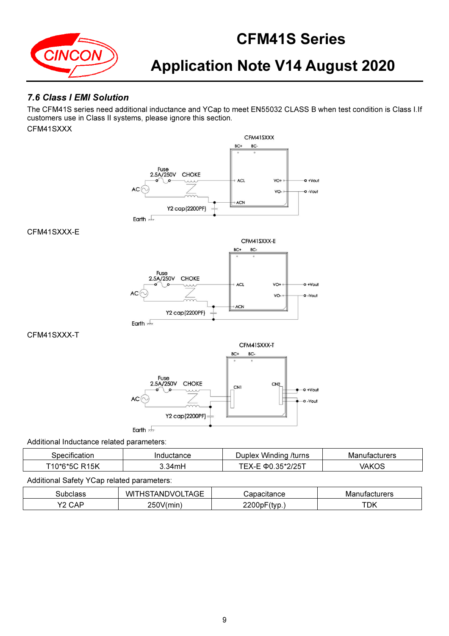

### 7.6 Class I EMI Solution

The CFM41S series need additional inductance and YCap to meet EN55032 CLASS B when test condition is Class I.If customers use in Class II systems, please ignore this section. CFM41SXXX



| וו זר                | nton oo | /turns                       | aturara |
|----------------------|---------|------------------------------|---------|
|                      | udur.   | Winding                      | - ∩∨⊔   |
|                      | stance  | Juniey                       | 'e s    |
| 15K<br>- 1<br>በ*6*50 | 34mH    | 10F<br>.<br>തി<br>ำ<br>ں ے ر | ハレヘピ    |

#### Additional Safety YCap related parameters:

| sur<br>$\sim$<br>.                           | WI <sup>-</sup><br>$\sim$ $-$<br>$-$<br>. AG÷H<br>\N.<br>◡ | $\sim$ $\sim$ $\sim$ $\sim$<br>ં નાાડડ | cturers<br>IVI: |
|----------------------------------------------|------------------------------------------------------------|----------------------------------------|-----------------|
| $\sqrt{2}$<br>$\bigcap$<br>_<br>$\mathbf{v}$ | - - -<br><b>250</b><br>'mın                                | n.<br>$\mathbf{M}$<br>∠∠∪∪             | <b>TDK</b>      |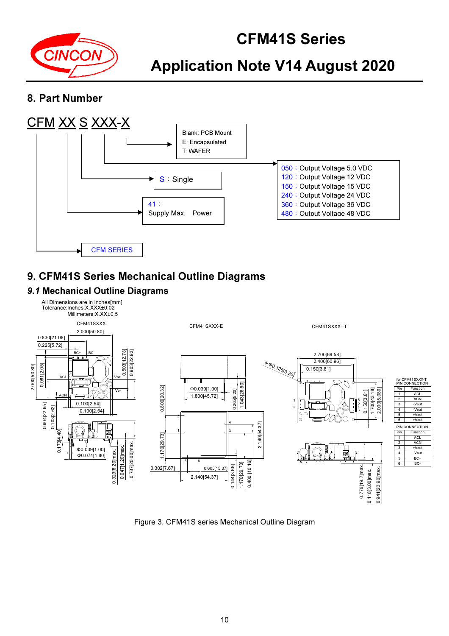

## 8. Part Number



## 9. CFM41S Series Mechanical Outline Diagrams

### 9.1 Mechanical Outline Diagrams



Figure 3. CFM41S series Mechanical Outline Diagram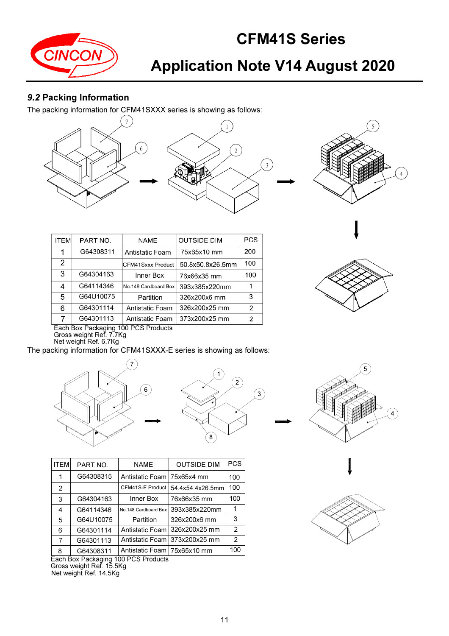

# Application Note V14 August 2020

### 9.2 Packing Information

The packing information for CFM41SXXX series is showing as follows:





| <b>ITEM</b> | PART NO.  | <b>NAME</b>          | <b>OUTSIDE DIM</b> | <b>PCS</b> |
|-------------|-----------|----------------------|--------------------|------------|
| 1           | G64308311 | Antistatic Foam      | 75x65x10 mm        | 200        |
| 2           |           | CFM41Sxxx Product    | 50.8x50.8x26.5mm   | 100        |
| 3           | G64304163 | Inner Box            | 76x66x35 mm        | 100        |
| 4           | G64114346 | No.148 Cardboard Box | 393x385x220mm      |            |
| 5           | G64U10075 | Partition            | 326x200x6 mm       | 3          |
| 6           | G64301114 | Antistatic Foam      | 326x200x25 mm      | 2          |
| 7           | G64301113 | Antistatic Foam      | 373x200x25 mm      | 2          |



Each Box Packaging 100 PCS Products<br>Gross weight Ref. 7.7Kg<br>Net weight Ref. 6.7Kg

The packing information for CFM41SXXX-E series is showing as follows:



G64308315 100 Antistatic Foam

75x65x4 mm

76x66x35 mm 393x385x220mm 326x200x6 mm 326x200x25 mm

373x200x25 mm

54.4x54.4x26.5mm

PART NO. | NAME | OUTSIDE DIM | PCS

CFM41S-E Product Inner Box

Partition No.148 Cardboard Box

Antistatic Foam

Antistatic Foam





| ٠ |
|---|
|   |



8 Each Box Packaging 100 PCS Products Gross weight Ref. 15.5Kg Net weight Ref. 14.5Kg G64308311 Antistatic Foam 75x65x10 mm 100

G64304163

G64114346

G64301113 G64301114 G64U10075

1

ITEM

100

100